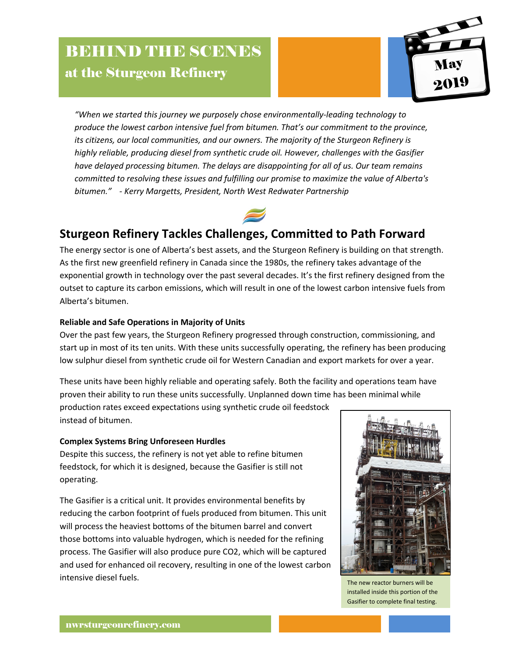# **BEHIND THE SCENES** at the Sturgeon Refinery



*"When we started this journey we purposely chose environmentally-leading technology to produce the lowest carbon intensive fuel from bitumen. That's our commitment to the province, its citizens, our local communities, and our owners. The majority of the Sturgeon Refinery is highly reliable, producing diesel from synthetic crude oil. However, challenges with the Gasifier have delayed processing bitumen. The delays are disappointing for all of us. Our team remains committed to resolving these issues and fulfilling our promise to maximize the value of Alberta's bitumen." - Kerry Margetts, President, North West Redwater Partnership*



# **Sturgeon Refinery Tackles Challenges, Committed to Path Forward**

The energy sector is one of Alberta's best assets, and the Sturgeon Refinery is building on that strength. As the first new greenfield refinery in Canada since the 1980s, the refinery takes advantage of the exponential growth in technology over the past several decades. It's the first refinery designed from the outset to capture its carbon emissions, which will result in one of the lowest carbon intensive fuels from Alberta's bitumen.

## **Reliable and Safe Operations in Majority of Units**

Over the past few years, the Sturgeon Refinery progressed through construction, commissioning, and start up in most of its ten units. With these units successfully operating, the refinery has been producing low sulphur diesel from synthetic crude oil for Western Canadian and export markets for over a year.

These units have been highly reliable and operating safely. Both the facility and operations team have proven their ability to run these units successfully. Unplanned down time has been minimal while

production rates exceed expectations using synthetic crude oil feedstock instead of bitumen.

## **Complex Systems Bring Unforeseen Hurdles**

Despite this success, the refinery is not yet able to refine bitumen feedstock, for which it is designed, because the Gasifier is still not operating.

The Gasifier is a critical unit. It provides environmental benefits by reducing the carbon footprint of fuels produced from bitumen. This unit will process the heaviest bottoms of the bitumen barrel and convert those bottoms into valuable hydrogen, which is needed for the refining process. The Gasifier will also produce pure CO2, which will be captured and used for enhanced oil recovery, resulting in one of the lowest carbon intensive diesel fuels.



The new reactor burners will be installed inside this portion of the Gasifier to complete final testing.